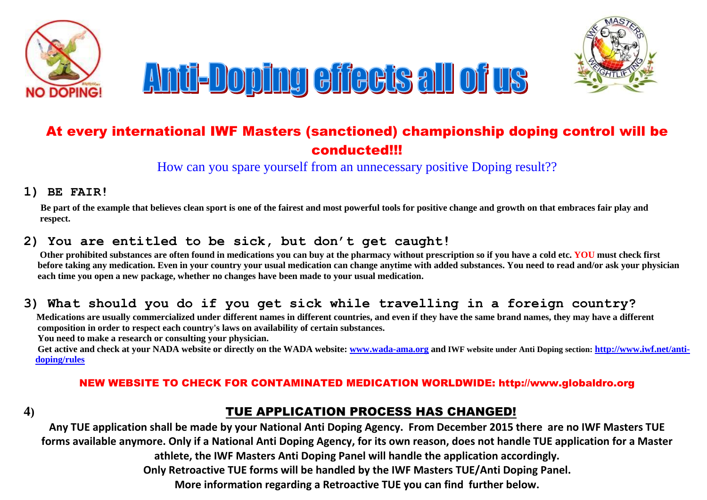



# At every international IWF Masters (sanctioned) championship doping control will be conducted!!!

How can you spare yourself from an unnecessary positive Doping result??

#### **1) BE FAIR!**

 **Be part of the example that believes clean sport is one of the fairest and most powerful tools for positive change and growth on that embraces fair play and respect.**

## **2) You are entitled to be sick, but don't get caught!**

 **Other prohibited substances are often found in medications you can buy at the pharmacy without prescription so if you have a cold etc. YOU must check first before taking any medication. Even in your country your usual medication can change anytime with added substances. You need to read and/or ask your physician each time you open a new package, whether no changes have been made to your usual medication.** 

## **3) What should you do if you get sick while travelling in a foreign country?**

 **Medications are usually commercialized under different names in different countries, and even if they have the same brand names, they may have a different composition in order to respect each country's laws on availability of certain substances.**

 **You need to make a research or consulting your physician.** 

 **Get active and check at your NADA website or directly on the WADA website: [www.wada-ama.org](http://www.wada-ama.org/) and IWF website under Anti Doping section: [http://www.iwf.net/anti](http://www.iwf.net/anti-%20%20%20%20%20%20%20%20%20%20doping/rules)   [doping/rules](http://www.iwf.net/anti-%20%20%20%20%20%20%20%20%20%20doping/rules)**

#### NEW WEBSITE TO CHECK FOR CONTAMINATED MEDICATION WORLDWIDE: http://www.globaldro.org

# **4)** TUE APPLICATION PROCESS HAS CHANGED!

**Any TUE application shall be made by your National Anti Doping Agency. From December 2015 there are no IWF Masters TUE forms available anymore. Only if a National Anti Doping Agency, for its own reason, does not handle TUE application for a Master athlete, the IWF Masters Anti Doping Panel will handle the application accordingly. Only Retroactive TUE forms will be handled by the IWF Masters TUE/Anti Doping Panel. More information regarding a Retroactive TUE you can find further below.**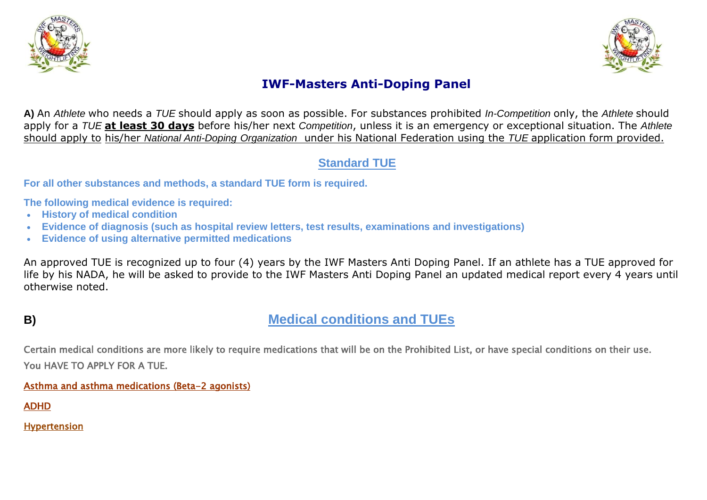



# **IWF-Masters Anti-Doping Panel**

**A)** An *Athlete* who needs a *TUE* should apply as soon as possible. For substances prohibited *In-Competition* only, the *Athlete* should apply for a *TUE* **at least 30 days** before his/her next *Competition*, unless it is an emergency or exceptional situation. The *Athlete*  should apply to his/her *National Anti-Doping Organization* under his National Federation using the *TUE* application form provided.

# **Standard TUE**

**For all other substances and methods, a standard TUE form is required.**

**The following medical evidence is required:**

- **History of medical condition**
- **Evidence of diagnosis (such as hospital review letters, test results, examinations and investigations)**
- **Evidence of using alternative permitted medications**

An approved TUE is recognized up to four (4) years by the IWF Masters Anti Doping Panel. If an athlete has a TUE approved for life by his NADA, he will be asked to provide to the IWF Masters Anti Doping Panel an updated medical report every 4 years until otherwise noted.

# **B) Medical conditions and TUEs**

Certain medical conditions are more likely to require medications that will be on the Prohibited List, or have special conditions on their use. You HAVE TO APPLY FOR A TUE.

[Asthma and asthma medications \(Beta-2 agonists\)](http://www.asdmac.gov.au/athletes/conditions.html) 

[ADHD](http://www.asdmac.gov.au/athletes/conditions.html) 

Hypertension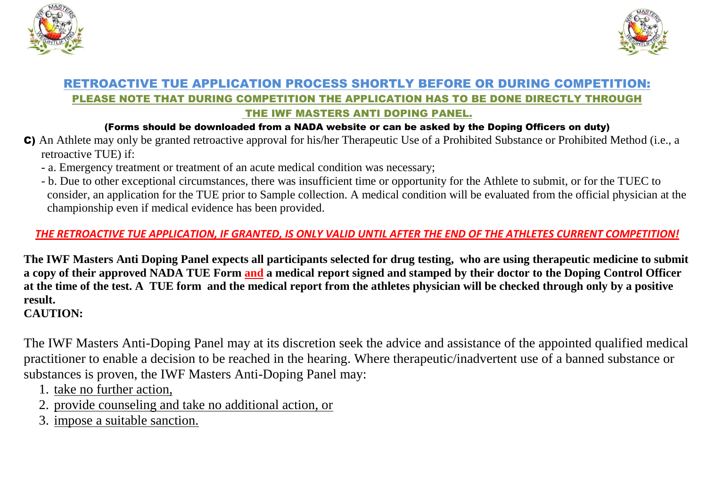



## RETROACTIVE TUE APPLICATION PROCESS SHORTLY BEFORE OR DURING COMPETITION: PLEASE NOTE THAT DURING COMPETITION THE APPLICATION HAS TO BE DONE DIRECTLY THROUGH THE IWF MASTERS ANTI DOPING PANEL.

#### (Forms should be downloaded from a NADA website or can be asked by the Doping Officers on duty)

- C) An Athlete may only be granted retroactive approval for his/her Therapeutic Use of a Prohibited Substance or Prohibited Method (i.e., a retroactive TUE) if:
	- a. Emergency treatment or treatment of an acute medical condition was necessary;
	- b. Due to other exceptional circumstances, there was insufficient time or opportunity for the Athlete to submit, or for the TUEC to consider, an application for the TUE prior to Sample collection. A medical condition will be evaluated from the official physician at the championship even if medical evidence has been provided.

# *THE RETROACTIVE TUE APPLICATION, IF GRANTED, IS ONLY VALID UNTIL AFTER THE END OF THE ATHLETES CURRENT COMPETITION!*

**The IWF Masters Anti Doping Panel expects all participants selected for drug testing, who are using therapeutic medicine to submit a copy of their approved NADA TUE Form and a medical report signed and stamped by their doctor to the Doping Control Officer at the time of the test. A TUE form and the medical report from the athletes physician will be checked through only by a positive result. CAUTION:** 

The IWF Masters Anti-Doping Panel may at its discretion seek the advice and assistance of the appointed qualified medical practitioner to enable a decision to be reached in the hearing. Where therapeutic/inadvertent use of a banned substance or substances is proven, the IWF Masters Anti-Doping Panel may:

- 1. take no further action,
- 2. provide counseling and take no additional action, or
- 3. impose a suitable sanction.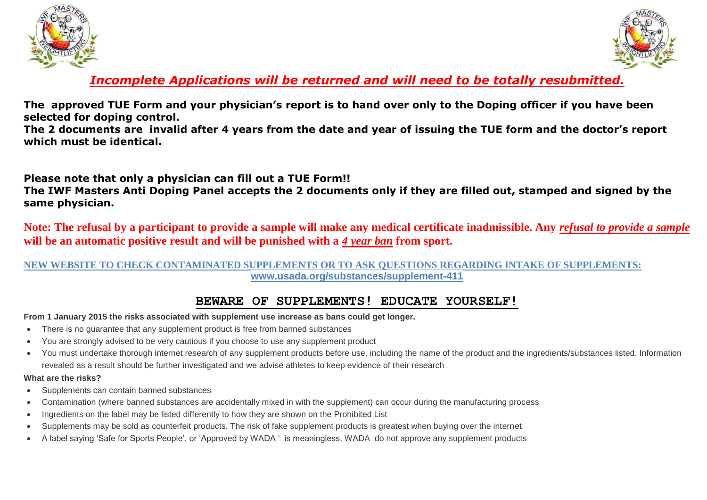



# *Incomplete Applications will be returned and will need to be totally resubmitted.*

**The approved TUE Form and your physician's report is to hand over only to the Doping officer if you have been selected for doping control.**

**The 2 documents are invalid after 4 years from the date and year of issuing the TUE form and the doctor's report which must be identical.** 

**Please note that only a physician can fill out a TUE Form!!**

**The IWF Masters Anti Doping Panel accepts the 2 documents only if they are filled out, stamped and signed by the same physician.**

**Note: The refusal by a participant to provide a sample will make any medical certificate inadmissible. Any** *refusal to provide a sample* **will be an automatic positive result and will be punished with a** *4 year ban* **from sport.**

#### **NEW WEBSITE TO CHECK CONTAMINATED SUPPLEMENTS OR TO ASK QUESTIONS REGARDING INTAKE OF SUPPLEMENTS: www.usada.org/substances/supplement-411**

## **BEWARE OF SUPPLEMENTS! EDUCATE YOURSELF!**

#### **From 1 January 2015 the risks associated with supplement use increase as bans could get longer.**

- There is no guarantee that any supplement product is free from banned substances
- You are strongly advised to be very cautious if you choose to use any supplement product
- You must undertake thorough internet research of any supplement products before use, including the name of the product and the ingredients/substances listed. Information revealed as a result should be further investigated and we advise athletes to keep evidence of their research

#### **What are the risks?**

- Supplements can contain banned substances
- Contamination (where banned substances are accidentally mixed in with the supplement) can occur during the manufacturing process
- Ingredients on the label may be listed differently to how they are shown on the Prohibited List
- Supplements may be sold as counterfeit products. The risk of fake supplement products is greatest when buying over the internet
- A label saying 'Safe for Sports People', or 'Approved by WADA ' is meaningless. WADA do not approve any supplement products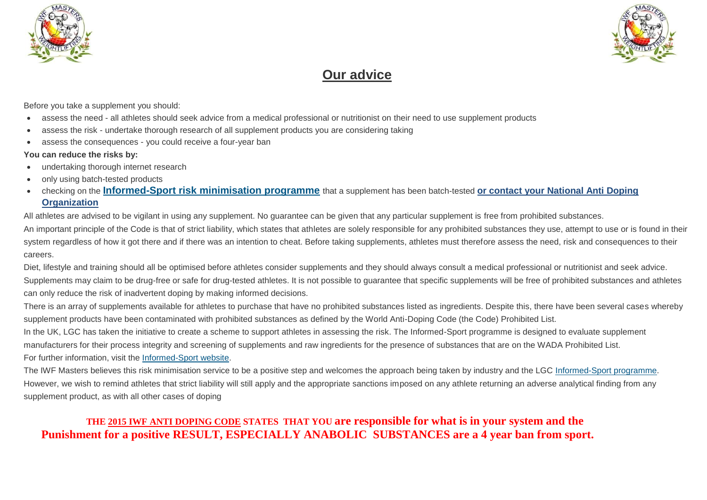



# **Our advice**

Before you take a supplement you should:

- assess the need all athletes should seek advice from a medical professional or nutritionist on their need to use supplement products
- assess the risk undertake thorough research of all supplement products you are considering taking
- assess the consequences you could receive a four-year ban

#### **You can reduce the risks by:**

- undertaking thorough internet research
- only using batch-tested products
- checking on the **Informed-Sport [risk minimisation programme](http://www.informed-sport.com/en/about-informed-sport)** that a supplement has been batch-tested **or contact your National Anti Doping Organization**

All athletes are advised to be vigilant in using any supplement. No guarantee can be given that any particular supplement is free from prohibited substances. An important principle of the Code is that of strict liability, which states that athletes are solely responsible for any prohibited substances they use, attempt to use or is found in their system regardless of how it got there and if there was an intention to cheat. Before taking supplements, athletes must therefore assess the need, risk and consequences to their careers.

Diet, lifestyle and training should all be optimised before athletes consider supplements and they should always consult a medical professional or nutritionist and seek advice. Supplements may claim to be drug-free or safe for drug-tested athletes. It is not possible to quarantee that specific supplements will be free of prohibited substances and athletes can only reduce the risk of inadvertent doping by making informed decisions.

There is an array of supplements available for athletes to purchase that have no prohibited substances listed as ingredients. Despite this, there have been several cases whereby supplement products have been contaminated with prohibited substances as defined by the World Anti-Doping Code (the Code) Prohibited List.

In the UK, LGC has taken the initiative to create a scheme to support athletes in assessing the risk. The Informed-Sport programme is designed to evaluate supplement manufacturers for their process integrity and screening of supplements and raw ingredients for the presence of substances that are on the WADA Prohibited List. For further information, visit the [Informed-Sport website.](http://www.informed-sport.com/)

The IWF Masters believes this risk minimisation service to be a positive step and welcomes the approach being taken by industry and the LGC [Informed-Sport programme.](http://www.informed-sport.com/) However, we wish to remind athletes that strict liability will still apply and the appropriate sanctions imposed on any athlete returning an adverse analytical finding from any supplement product, as with all other cases of doping

## **THE 2015 IWF ANTI DOPING CODE STATES THAT YOU are responsible for what is in your system and the Punishment for a positive RESULT, ESPECIALLY ANABOLIC SUBSTANCES are a 4 year ban from sport.**